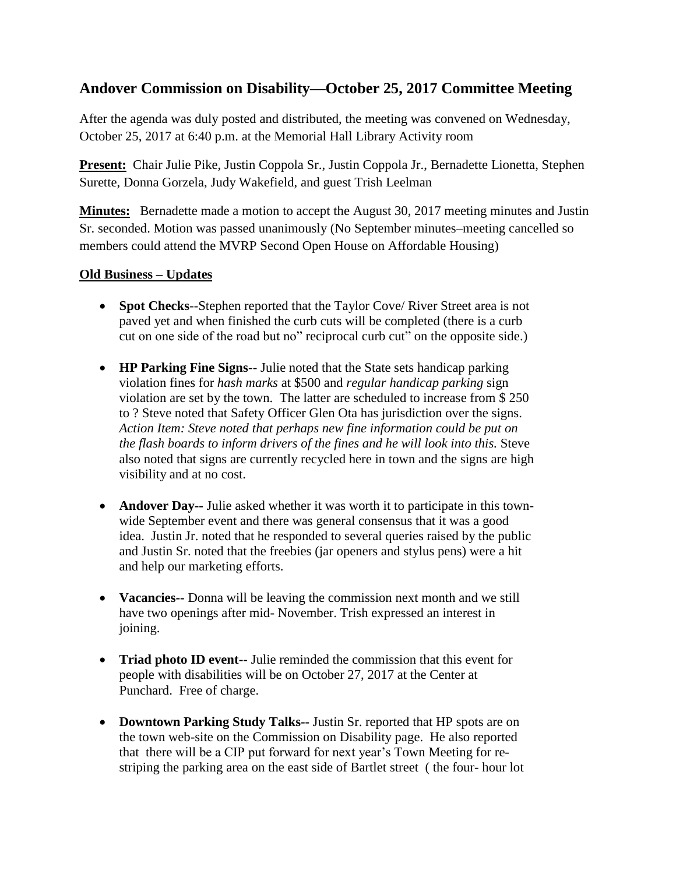## **Andover Commission on Disability—October 25, 2017 Committee Meeting**

After the agenda was duly posted and distributed, the meeting was convened on Wednesday, October 25, 2017 at 6:40 p.m. at the Memorial Hall Library Activity room

**Present:** Chair Julie Pike, Justin Coppola Sr., Justin Coppola Jr., Bernadette Lionetta, Stephen Surette, Donna Gorzela, Judy Wakefield, and guest Trish Leelman

**Minutes:** Bernadette made a motion to accept the August 30, 2017 meeting minutes and Justin Sr. seconded. Motion was passed unanimously (No September minutes–meeting cancelled so members could attend the MVRP Second Open House on Affordable Housing)

## **Old Business – Updates**

- **Spot Checks**--Stephen reported that the Taylor Cove/ River Street area is not paved yet and when finished the curb cuts will be completed (there is a curb cut on one side of the road but no" reciprocal curb cut" on the opposite side.)
- **HP Parking Fine Signs**-- Julie noted that the State sets handicap parking violation fines for *hash marks* at \$500 and *regular handicap parking* sign violation are set by the town. The latter are scheduled to increase from \$ 250 to ? Steve noted that Safety Officer Glen Ota has jurisdiction over the signs. *Action Item: Steve noted that perhaps new fine information could be put on the flash boards to inform drivers of the fines and he will look into this.* Steve also noted that signs are currently recycled here in town and the signs are high visibility and at no cost.
- **Andover Day--** Julie asked whether it was worth it to participate in this townwide September event and there was general consensus that it was a good idea. Justin Jr. noted that he responded to several queries raised by the public and Justin Sr. noted that the freebies (jar openers and stylus pens) were a hit and help our marketing efforts.
- **Vacancies--** Donna will be leaving the commission next month and we still have two openings after mid- November. Trish expressed an interest in joining.
- **Triad photo ID event--** Julie reminded the commission that this event for people with disabilities will be on October 27, 2017 at the Center at Punchard. Free of charge.
- **Downtown Parking Study Talks--** Justin Sr. reported that HP spots are on the town web-site on the Commission on Disability page. He also reported that there will be a CIP put forward for next year's Town Meeting for restriping the parking area on the east side of Bartlet street ( the four- hour lot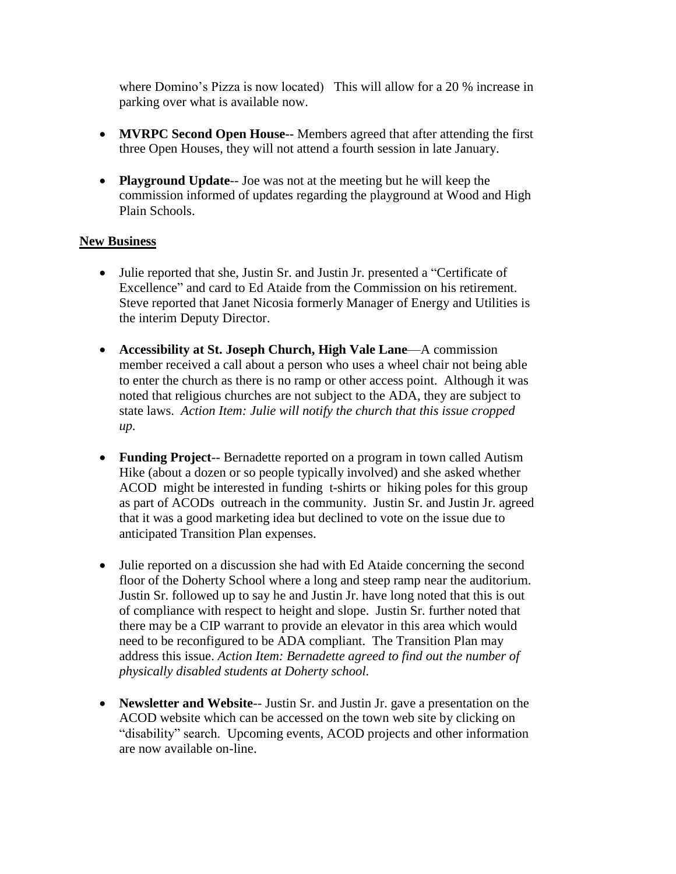where Domino's Pizza is now located) This will allow for a 20 % increase in parking over what is available now.

- **MVRPC Second Open House--** Members agreed that after attending the first three Open Houses, they will not attend a fourth session in late January.
- **Playground Update**-- Joe was not at the meeting but he will keep the commission informed of updates regarding the playground at Wood and High Plain Schools.

## **New Business**

- Julie reported that she, Justin Sr. and Justin Jr. presented a "Certificate of Excellence" and card to Ed Ataide from the Commission on his retirement. Steve reported that Janet Nicosia formerly Manager of Energy and Utilities is the interim Deputy Director.
- **Accessibility at St. Joseph Church, High Vale Lane**—A commission member received a call about a person who uses a wheel chair not being able to enter the church as there is no ramp or other access point. Although it was noted that religious churches are not subject to the ADA, they are subject to state laws. *Action Item: Julie will notify the church that this issue cropped up.*
- **Funding Project**-- Bernadette reported on a program in town called Autism Hike (about a dozen or so people typically involved) and she asked whether ACOD might be interested in funding t-shirts or hiking poles for this group as part of ACODs outreach in the community. Justin Sr. and Justin Jr. agreed that it was a good marketing idea but declined to vote on the issue due to anticipated Transition Plan expenses.
- Julie reported on a discussion she had with Ed Ataide concerning the second floor of the Doherty School where a long and steep ramp near the auditorium. Justin Sr. followed up to say he and Justin Jr. have long noted that this is out of compliance with respect to height and slope. Justin Sr. further noted that there may be a CIP warrant to provide an elevator in this area which would need to be reconfigured to be ADA compliant. The Transition Plan may address this issue. *Action Item: Bernadette agreed to find out the number of physically disabled students at Doherty school.*
- **Newsletter and Website**-- Justin Sr. and Justin Jr. gave a presentation on the ACOD website which can be accessed on the town web site by clicking on "disability" search. Upcoming events, ACOD projects and other information are now available on-line.